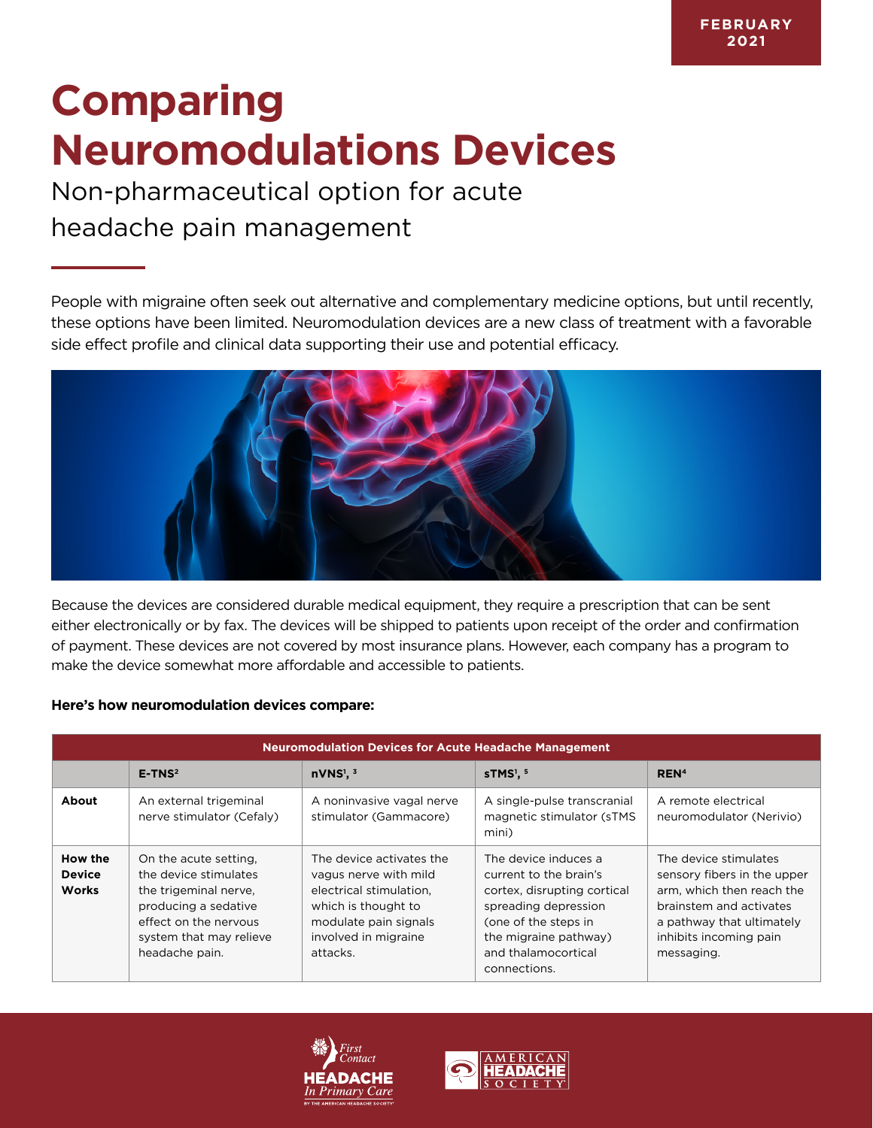## **Comparing Neuromodulations Devices**

## Non-pharmaceutical option for acute headache pain management

People with migraine often seek out alternative and complementary medicine options, but until recently, these options have been limited. Neuromodulation devices are a new class of treatment with a favorable side effect profile and clinical data supporting their use and potential efficacy.



Because the devices are considered durable medical equipment, they require a prescription that can be sent either electronically or by fax. The devices will be shipped to patients upon receipt of the order and confirmation of payment. These devices are not covered by most insurance plans. However, each company has a program to make the device somewhat more affordable and accessible to patients.

## **Here's how neuromodulation devices compare:**

| <b>Neuromodulation Devices for Acute Headache Management</b> |                                                                                                                                                                       |                                                                                                                                                                  |                                                                                                                                                                                               |                                                                                                                                                                                   |  |  |  |
|--------------------------------------------------------------|-----------------------------------------------------------------------------------------------------------------------------------------------------------------------|------------------------------------------------------------------------------------------------------------------------------------------------------------------|-----------------------------------------------------------------------------------------------------------------------------------------------------------------------------------------------|-----------------------------------------------------------------------------------------------------------------------------------------------------------------------------------|--|--|--|
|                                                              | $E-TNS2$                                                                                                                                                              | $nVNS1$ . $3$                                                                                                                                                    | $STMS1$ .                                                                                                                                                                                     | REN <sup>4</sup>                                                                                                                                                                  |  |  |  |
| About                                                        | An external trigeminal<br>nerve stimulator (Cefaly)                                                                                                                   | A noninvasive vagal nerve<br>stimulator (Gammacore)                                                                                                              | A single-pulse transcranial<br>magnetic stimulator (sTMS<br>mini)                                                                                                                             | A remote electrical<br>neuromodulator (Nerivio)                                                                                                                                   |  |  |  |
| How the<br><b>Device</b><br><b>Works</b>                     | On the acute setting.<br>the device stimulates<br>the trigeminal nerve.<br>producing a sedative<br>effect on the nervous<br>system that may relieve<br>headache pain. | The device activates the<br>vagus nerve with mild<br>electrical stimulation.<br>which is thought to<br>modulate pain signals<br>involved in migraine<br>attacks. | The device induces a<br>current to the brain's<br>cortex, disrupting cortical<br>spreading depression<br>(one of the steps in<br>the migraine pathway)<br>and thalamocortical<br>connections. | The device stimulates<br>sensory fibers in the upper<br>arm, which then reach the<br>brainstem and activates<br>a pathway that ultimately<br>inhibits incoming pain<br>messaging. |  |  |  |